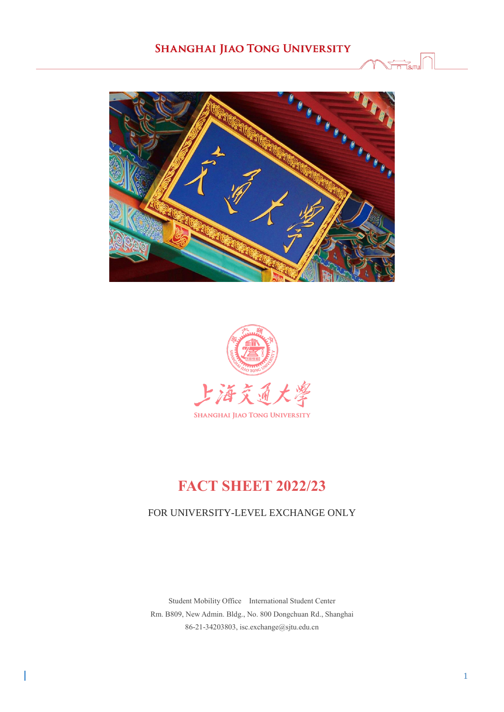



# **FACT SHEET 2022/23**

### FOR UNIVERSITY-LEVEL EXCHANGE ONLY

Student Mobility Office International Student Center Rm. B809, New Admin. Bldg., No. 800 Dongchuan Rd., Shanghai 86-21-34203803, isc.exchange@sjtu.edu.cn

I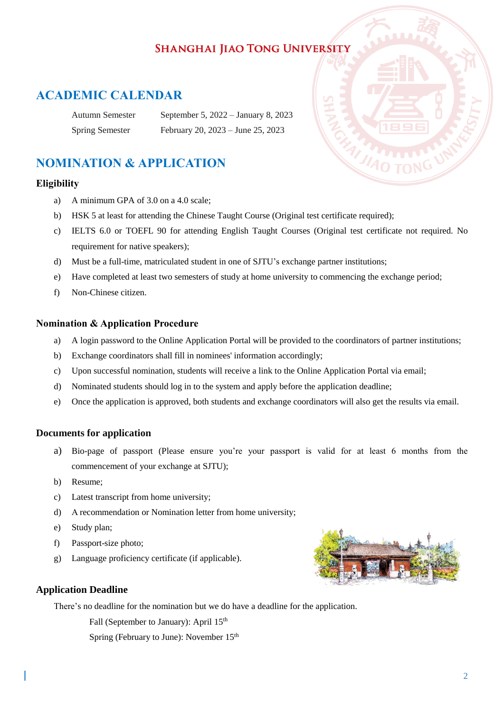## **ACADEMIC CALENDAR**

| Autumn Semester        | September 5, 2022 – January 8, 2023 |
|------------------------|-------------------------------------|
| <b>Spring Semester</b> | February 20, 2023 – June 25, 2023   |

## **NOMINATION & APPLICATION**

#### **Eligibility**

- a) A minimum GPA of 3.0 on a 4.0 scale;
- b) HSK 5 at least for attending the Chinese Taught Course (Original test certificate required);
- c) IELTS 6.0 or TOEFL 90 for attending English Taught Courses (Original test certificate not required. No requirement for native speakers);
- d) Must be a full-time, matriculated student in one of SJTU's exchange partner institutions;
- e) Have completed at least two semesters of study at home university to commencing the exchange period;
- f) Non-Chinese citizen.

#### **Nomination & Application Procedure**

- a) A login password to the Online Application Portal will be provided to the coordinators of partner institutions;
- b) Exchange coordinators shall fill in nominees' information accordingly;
- c) Upon successful nomination, students will receive a link to the Online Application Portal via email;
- d) Nominated students should log in to the system and apply before the application deadline;
- e) Once the application is approved, both students and exchange coordinators will also get the results via email.

### **Documents for application**

- a) Bio-page of passport (Please ensure you're your passport is valid for at least 6 months from the commencement of your exchange at SJTU);
- b) Resume;
- c) Latest transcript from home university;
- d) A recommendation or Nomination letter from home university;
- e) Study plan;
- f) Passport-size photo;
- g) Language proficiency certificate (if applicable).



#### **Application Deadline**

There's no deadline for the nomination but we do have a deadline for the application.

Fall (September to January): April 15<sup>th</sup>

Spring (February to June): November 15th

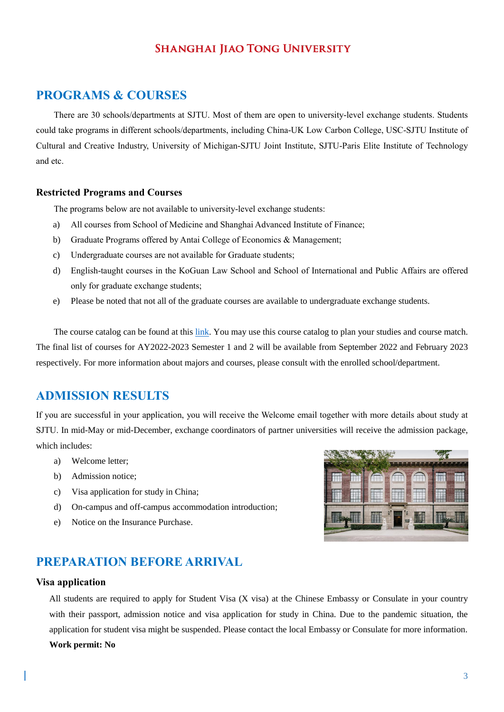### **PROGRAMS & COURSES**

There are 30 schools/departments at SJTU. Most of them are open to university-level exchange students. Students could take programs in different schools/departments, including China-UK Low Carbon College, USC-SJTU Institute of Cultural and Creative Industry, University of Michigan-SJTU Joint Institute, SJTU-Paris Elite Institute of Technology and etc.

#### **Restricted Programs and Courses**

The programs below are not available to university-level exchange students:

- a) All courses from School of Medicine and Shanghai Advanced Institute of Finance;
- b) Graduate Programs offered by Antai College of Economics & Management;
- c) Undergraduate courses are not available for Graduate students;
- d) English-taught courses in the KoGuan Law School and School of International and Public Affairs are offered only for graduate exchange students;
- e) Please be noted that not all of the graduate courses are available to undergraduate exchange students.

The course catalog can be found at this [link.](https://isc.sjtu.edu.cn/ueditor/net/upload/2020-11-23/1295a317-784a-4fd6-b1e2-d274d7c0168b.zip) You may use this course catalog to plan your studies and course match. The final list of courses for AY2022-2023 Semester 1 and 2 will be available from September 2022 and February 2023 respectively. For more information about majors and courses, please consult with the enrolled school/department.

## **ADMISSION RESULTS**

If you are successful in your application, you will receive the Welcome email together with more details about study at SJTU. In mid-May or mid-December, exchange coordinators of partner universities will receive the admission package, which includes:

- a) Welcome letter;
- b) Admission notice;
- c) Visa application for study in China;
- d) On-campus and off-campus accommodation introduction;
- e) Notice on the Insurance Purchase.

## **PREPARATION BEFORE ARRIVAL**

#### **Visa application**

All students are required to apply for Student Visa (X visa) at the Chinese Embassy or Consulate in your country with their passport, admission notice and visa application for study in China. Due to the pandemic situation, the application for student visa might be suspended. Please contact the local Embassy or Consulate for more information. **Work permit: No**

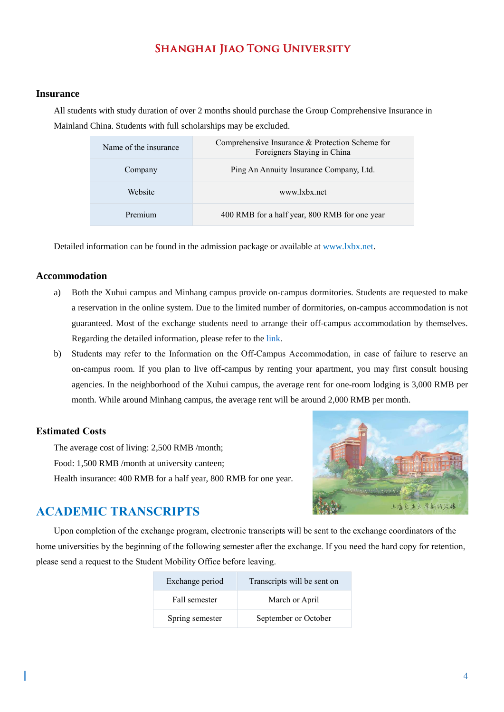#### **Insurance**

All students with study duration of over 2 months should purchase the Group Comprehensive Insurance in Mainland China. Students with full scholarships may be excluded.

| Name of the insurance | Comprehensive Insurance & Protection Scheme for<br>Foreigners Staying in China |
|-----------------------|--------------------------------------------------------------------------------|
| Company               | Ping An Annuity Insurance Company, Ltd.                                        |
| Website               | www.lxbx.net                                                                   |
| Premium               | 400 RMB for a half year, 800 RMB for one year                                  |

Detailed information can be found in the admission package or available at www.lxbx.net.

#### **Accommodation**

- a) Both the Xuhui campus and Minhang campus provide on-campus dormitories. Students are requested to make a reservation in the online system. Due to the limited number of dormitories, on-campus accommodation is not guaranteed. Most of the exchange students need to arrange their off-campus accommodation by themselves. Regarding the detailed information, please refer to th[e link.](http://isc.sjtu.edu.cn/EN/content.aspx?info_lb=260&flag=3)
- b) Students may refer to the Information on the Off-Campus Accommodation, in case of failure to reserve an on-campus room. If you plan to live off-campus by renting your apartment, you may first consult housing agencies. In the neighborhood of the Xuhui campus, the average rent for one-room lodging is 3,000 RMB per month. While around Minhang campus, the average rent will be around 2,000 RMB per month.

#### **Estimated Costs**

The average cost of living: 2,500 RMB /month; Food: 1,500 RMB /month at university canteen; Health insurance: 400 RMB for a half year, 800 RMB for one year.



## **ACADEMIC TRANSCRIPTS**

Upon completion of the exchange program, electronic transcripts will be sent to the exchange coordinators of the home universities by the beginning of the following semester after the exchange. If you need the hard copy for retention, please send a request to the Student Mobility Office before leaving.

| Exchange period | Transcripts will be sent on |  |
|-----------------|-----------------------------|--|
| Fall semester   | March or April              |  |
| Spring semester | September or October        |  |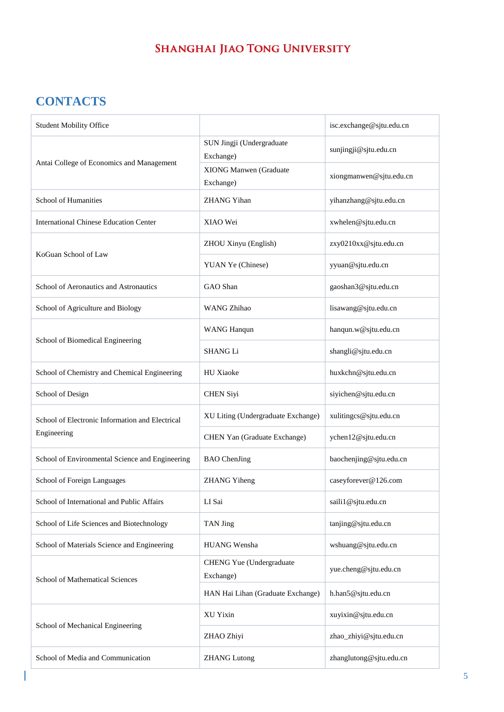# **CONTACTS**

| <b>Student Mobility Office</b>                  |                                            | isc.exchange@sjtu.edu.cn |
|-------------------------------------------------|--------------------------------------------|--------------------------|
| Antai College of Economics and Management       | SUN Jingji (Undergraduate<br>Exchange)     | sunjingji@sjtu.edu.cn    |
|                                                 | <b>XIONG Manwen</b> (Graduate<br>Exchange) | xiongmanwen@sjtu.edu.cn  |
| School of Humanities                            | <b>ZHANG Yihan</b>                         | yihanzhang@sjtu.edu.cn   |
| <b>International Chinese Education Center</b>   | XIAO Wei                                   | xwhelen@sjtu.edu.cn      |
| KoGuan School of Law                            | ZHOU Xinyu (English)                       | zxy0210xx@sjtu.edu.cn    |
|                                                 | YUAN Ye (Chinese)                          | yyuan@sjtu.edu.cn        |
| School of Aeronautics and Astronautics          | GAO Shan                                   | gaoshan3@sjtu.edu.cn     |
| School of Agriculture and Biology               | WANG Zhihao                                | lisawang@sjtu.edu.cn     |
|                                                 | <b>WANG Hanqun</b>                         | hanqun.w@sjtu.edu.cn     |
| School of Biomedical Engineering                | <b>SHANGLi</b>                             | shangli@sjtu.edu.cn      |
| School of Chemistry and Chemical Engineering    | <b>HU</b> Xiaoke                           | huxkchn@sjtu.edu.cn      |
| School of Design                                | <b>CHEN Siyi</b>                           | siyichen@sjtu.edu.cn     |
| School of Electronic Information and Electrical | XU Liting (Undergraduate Exchange)         | xulitingcs@sjtu.edu.cn   |
| Engineering                                     | CHEN Yan (Graduate Exchange)               | ychen12@sjtu.edu.cn      |
| School of Environmental Science and Engineering | <b>BAO</b> ChenJing                        | baochenjing@sjtu.edu.cn  |
| School of Foreign Languages                     | <b>ZHANG Yiheng</b>                        | caseyforever@126.com     |
| School of International and Public Affairs      | LI Sai                                     | saili1@sjtu.edu.cn       |
| School of Life Sciences and Biotechnology       | TAN Jing                                   | tanjing@sjtu.edu.cn      |
| School of Materials Science and Engineering     | HUANG Wensha                               | wshuang@sjtu.edu.cn      |
| School of Mathematical Sciences                 | CHENG Yue (Undergraduate<br>Exchange)      | yue.cheng@sjtu.edu.cn    |
|                                                 | HAN Hai Lihan (Graduate Exchange)          | h.han5@sjtu.edu.cn       |
| School of Mechanical Engineering                | XU Yixin                                   | xuyixin@sjtu.edu.cn      |
|                                                 | ZHAO Zhiyi                                 | zhao_zhiyi@sjtu.edu.cn   |
| School of Media and Communication               | <b>ZHANG</b> Lutong                        | zhanglutong@sjtu.edu.cn  |